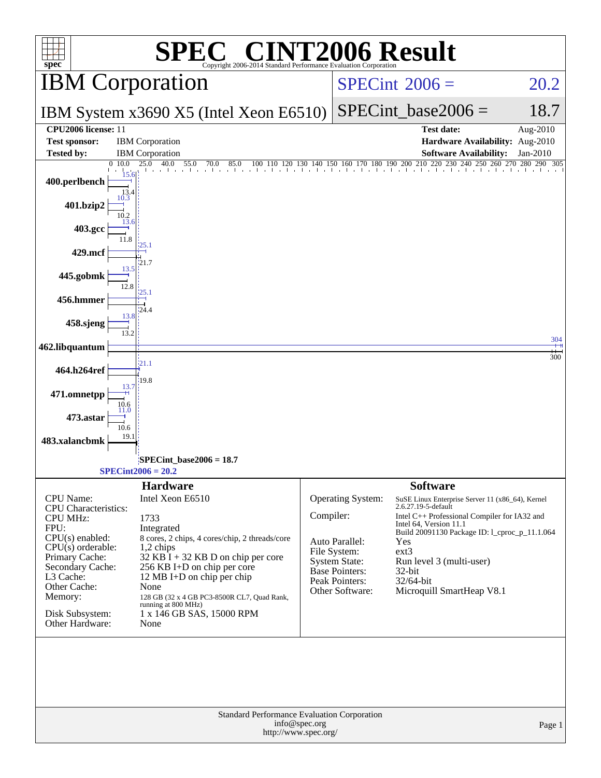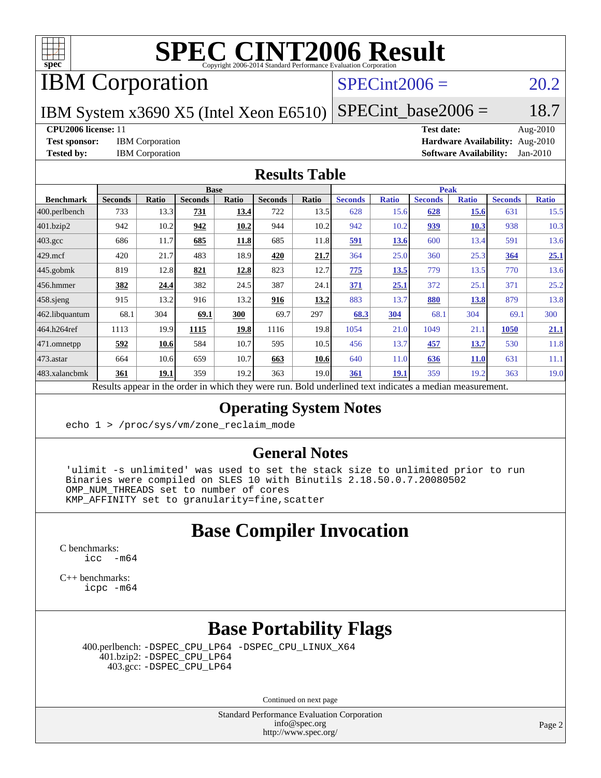

IBM Corporation

#### $SPECint2006 = 20.2$  $SPECint2006 = 20.2$

IBM System x3690 X5 (Intel Xeon E6510)  $SPECTnt\_base2006 = 18.7$ 

**[CPU2006 license:](http://www.spec.org/auto/cpu2006/Docs/result-fields.html#CPU2006license)** 11 **[Test date:](http://www.spec.org/auto/cpu2006/Docs/result-fields.html#Testdate)** Aug-2010 **[Test sponsor:](http://www.spec.org/auto/cpu2006/Docs/result-fields.html#Testsponsor)** IBM Corporation **[Hardware Availability:](http://www.spec.org/auto/cpu2006/Docs/result-fields.html#HardwareAvailability)** Aug-2010 **[Tested by:](http://www.spec.org/auto/cpu2006/Docs/result-fields.html#Testedby)** IBM Corporation **[Software Availability:](http://www.spec.org/auto/cpu2006/Docs/result-fields.html#SoftwareAvailability)** Jan-2010

#### **[Results Table](http://www.spec.org/auto/cpu2006/Docs/result-fields.html#ResultsTable)**

|                    | <b>Base</b>                                    |              |                                                           |       |                |       | <b>Peak</b>                                         |              |                |              |                |              |
|--------------------|------------------------------------------------|--------------|-----------------------------------------------------------|-------|----------------|-------|-----------------------------------------------------|--------------|----------------|--------------|----------------|--------------|
| <b>Benchmark</b>   | <b>Seconds</b>                                 | <b>Ratio</b> | <b>Seconds</b>                                            | Ratio | <b>Seconds</b> | Ratio | <b>Seconds</b>                                      | <b>Ratio</b> | <b>Seconds</b> | <b>Ratio</b> | <b>Seconds</b> | <b>Ratio</b> |
| $ 400$ .perlbench  | 733                                            | 13.3         | 731                                                       | 13.4  | 722            | 13.5  | 628                                                 | 15.6         | 628            | 15.6         | 631            | 15.5         |
| 401.bzip2          | 942                                            | 10.2         | 942                                                       | 10.2  | 944            | 10.2  | 942                                                 | 10.2         | <u>939</u>     | 10.3         | 938            | 10.3         |
| $403.\mathrm{gcc}$ | 686                                            | 11.7         | 685                                                       | 11.8  | 685            | 11.8  | 591                                                 | <u>13.6</u>  | 600            | 13.4         | 591            | 13.6         |
| $429$ mcf          | 420                                            | 21.7         | 483                                                       | 18.9  | 420            | 21.7  | 364                                                 | 25.0         | 360            | 25.3         | 364            | 25.1         |
| $445$ .gobmk       | 819                                            | 12.8         | 821                                                       | 12.8  | 823            | 12.7  | 775                                                 | 13.5         | 779            | 13.5         | 770            | 13.6         |
| 456.hmmer          | 382                                            | 24.4         | 382                                                       | 24.5  | 387            | 24.1  | 371                                                 | 25.1         | 372            | 25.1         | 371            | 25.2         |
| $458$ .sjeng       | 915                                            | 13.2         | 916                                                       | 13.2  | 916            | 13.2  | 883                                                 | 13.7         | <b>880</b>     | <u>13.8</u>  | 879            | 13.8         |
| 462.libquantum     | 68.1                                           | 304          | 69.1                                                      | 300   | 69.7           | 297   | 68.3                                                | 304          | 68.1           | 304          | 69.1           | 300          |
| 464.h264ref        | 1113                                           | 19.9         | 1115                                                      | 19.8  | 1116           | 19.8  | 1054                                                | 21.0         | 1049           | 21.1         | 1050           | 21.1         |
| 471.omnetpp        | 592                                            | 10.6         | 584                                                       | 10.7  | 595            | 10.5  | 456                                                 | 13.7         | 457            | <u>13.7</u>  | 530            | 11.8         |
| $ 473$ . astar     | 664                                            | 10.6         | 659                                                       | 10.7  | 663            | 10.6  | 640                                                 | 11.0         | 636            | <b>11.0</b>  | 631            | 11.1         |
| 483.xalancbmk      | 361                                            | 19.1         | 359                                                       | 19.2  | 363            | 19.0  | 361                                                 | <b>19.1</b>  | 359            | 19.2         | 363            | 19.0         |
|                    | $\mathbf{D}$ and $\mathbf{L}$ and $\mathbf{L}$ |              | المتحمل ومتحدد وجحامله والمكمل وجائمت والمتحامل والملامين |       |                |       | Deld and called to all the total control of models. |              |                |              |                |              |

Results appear in the [order in which they were run.](http://www.spec.org/auto/cpu2006/Docs/result-fields.html#RunOrder) Bold underlined text [indicates a median measurement.](http://www.spec.org/auto/cpu2006/Docs/result-fields.html#Median)

#### **[Operating System Notes](http://www.spec.org/auto/cpu2006/Docs/result-fields.html#OperatingSystemNotes)**

echo 1 > /proc/sys/vm/zone reclaim mode

#### **[General Notes](http://www.spec.org/auto/cpu2006/Docs/result-fields.html#GeneralNotes)**

 'ulimit -s unlimited' was used to set the stack size to unlimited prior to run Binaries were compiled on SLES 10 with Binutils 2.18.50.0.7.20080502 OMP NUM THREADS set to number of cores KMP\_AFFINITY set to granularity=fine,scatter

#### **[Base Compiler Invocation](http://www.spec.org/auto/cpu2006/Docs/result-fields.html#BaseCompilerInvocation)**

[C benchmarks](http://www.spec.org/auto/cpu2006/Docs/result-fields.html#Cbenchmarks):  $\text{icc}$  -m64

[C++ benchmarks:](http://www.spec.org/auto/cpu2006/Docs/result-fields.html#CXXbenchmarks) [icpc -m64](http://www.spec.org/cpu2006/results/res2010q3/cpu2006-20100817-12987.flags.html#user_CXXbase_intel_icpc_64bit_fc66a5337ce925472a5c54ad6a0de310)

## **[Base Portability Flags](http://www.spec.org/auto/cpu2006/Docs/result-fields.html#BasePortabilityFlags)**

 400.perlbench: [-DSPEC\\_CPU\\_LP64](http://www.spec.org/cpu2006/results/res2010q3/cpu2006-20100817-12987.flags.html#b400.perlbench_basePORTABILITY_DSPEC_CPU_LP64) [-DSPEC\\_CPU\\_LINUX\\_X64](http://www.spec.org/cpu2006/results/res2010q3/cpu2006-20100817-12987.flags.html#b400.perlbench_baseCPORTABILITY_DSPEC_CPU_LINUX_X64) 401.bzip2: [-DSPEC\\_CPU\\_LP64](http://www.spec.org/cpu2006/results/res2010q3/cpu2006-20100817-12987.flags.html#suite_basePORTABILITY401_bzip2_DSPEC_CPU_LP64) 403.gcc: [-DSPEC\\_CPU\\_LP64](http://www.spec.org/cpu2006/results/res2010q3/cpu2006-20100817-12987.flags.html#suite_basePORTABILITY403_gcc_DSPEC_CPU_LP64)

Continued on next page

Standard Performance Evaluation Corporation [info@spec.org](mailto:info@spec.org) <http://www.spec.org/>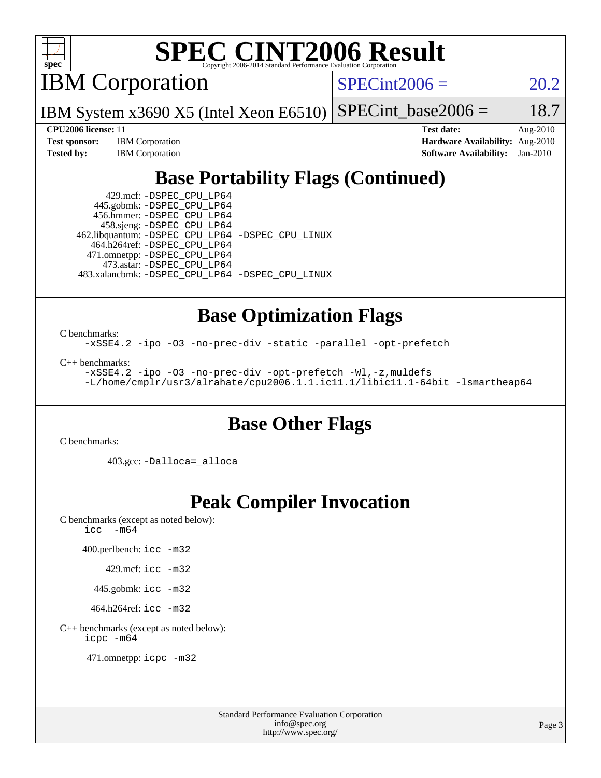

IBM Corporation

 $SPECint2006 = 20.2$  $SPECint2006 = 20.2$ 

IBM System x3690 X5 (Intel Xeon E6510)  $SPECTnt\_base2006 = 18.7$ 

**[Test sponsor:](http://www.spec.org/auto/cpu2006/Docs/result-fields.html#Testsponsor)** IBM Corporation **[Hardware Availability:](http://www.spec.org/auto/cpu2006/Docs/result-fields.html#HardwareAvailability)** Aug-2010

**[CPU2006 license:](http://www.spec.org/auto/cpu2006/Docs/result-fields.html#CPU2006license)** 11 **[Test date:](http://www.spec.org/auto/cpu2006/Docs/result-fields.html#Testdate)** Aug-2010 **[Tested by:](http://www.spec.org/auto/cpu2006/Docs/result-fields.html#Testedby)** IBM Corporation **[Software Availability:](http://www.spec.org/auto/cpu2006/Docs/result-fields.html#SoftwareAvailability)** Jan-2010

## **[Base Portability Flags \(Continued\)](http://www.spec.org/auto/cpu2006/Docs/result-fields.html#BasePortabilityFlags)**

 429.mcf: [-DSPEC\\_CPU\\_LP64](http://www.spec.org/cpu2006/results/res2010q3/cpu2006-20100817-12987.flags.html#suite_basePORTABILITY429_mcf_DSPEC_CPU_LP64) 445.gobmk: [-DSPEC\\_CPU\\_LP64](http://www.spec.org/cpu2006/results/res2010q3/cpu2006-20100817-12987.flags.html#suite_basePORTABILITY445_gobmk_DSPEC_CPU_LP64) 456.hmmer: [-DSPEC\\_CPU\\_LP64](http://www.spec.org/cpu2006/results/res2010q3/cpu2006-20100817-12987.flags.html#suite_basePORTABILITY456_hmmer_DSPEC_CPU_LP64) 458.sjeng: [-DSPEC\\_CPU\\_LP64](http://www.spec.org/cpu2006/results/res2010q3/cpu2006-20100817-12987.flags.html#suite_basePORTABILITY458_sjeng_DSPEC_CPU_LP64) 462.libquantum: [-DSPEC\\_CPU\\_LP64](http://www.spec.org/cpu2006/results/res2010q3/cpu2006-20100817-12987.flags.html#suite_basePORTABILITY462_libquantum_DSPEC_CPU_LP64) [-DSPEC\\_CPU\\_LINUX](http://www.spec.org/cpu2006/results/res2010q3/cpu2006-20100817-12987.flags.html#b462.libquantum_baseCPORTABILITY_DSPEC_CPU_LINUX) 464.h264ref: [-DSPEC\\_CPU\\_LP64](http://www.spec.org/cpu2006/results/res2010q3/cpu2006-20100817-12987.flags.html#suite_basePORTABILITY464_h264ref_DSPEC_CPU_LP64) 471.omnetpp: [-DSPEC\\_CPU\\_LP64](http://www.spec.org/cpu2006/results/res2010q3/cpu2006-20100817-12987.flags.html#suite_basePORTABILITY471_omnetpp_DSPEC_CPU_LP64) 473.astar: [-DSPEC\\_CPU\\_LP64](http://www.spec.org/cpu2006/results/res2010q3/cpu2006-20100817-12987.flags.html#suite_basePORTABILITY473_astar_DSPEC_CPU_LP64) 483.xalancbmk: [-DSPEC\\_CPU\\_LP64](http://www.spec.org/cpu2006/results/res2010q3/cpu2006-20100817-12987.flags.html#suite_basePORTABILITY483_xalancbmk_DSPEC_CPU_LP64) [-DSPEC\\_CPU\\_LINUX](http://www.spec.org/cpu2006/results/res2010q3/cpu2006-20100817-12987.flags.html#b483.xalancbmk_baseCXXPORTABILITY_DSPEC_CPU_LINUX)

## **[Base Optimization Flags](http://www.spec.org/auto/cpu2006/Docs/result-fields.html#BaseOptimizationFlags)**

[C benchmarks](http://www.spec.org/auto/cpu2006/Docs/result-fields.html#Cbenchmarks):

[-xSSE4.2](http://www.spec.org/cpu2006/results/res2010q3/cpu2006-20100817-12987.flags.html#user_CCbase_f-xSSE42_f91528193cf0b216347adb8b939d4107) [-ipo](http://www.spec.org/cpu2006/results/res2010q3/cpu2006-20100817-12987.flags.html#user_CCbase_f-ipo) [-O3](http://www.spec.org/cpu2006/results/res2010q3/cpu2006-20100817-12987.flags.html#user_CCbase_f-O3) [-no-prec-div](http://www.spec.org/cpu2006/results/res2010q3/cpu2006-20100817-12987.flags.html#user_CCbase_f-no-prec-div) [-static](http://www.spec.org/cpu2006/results/res2010q3/cpu2006-20100817-12987.flags.html#user_CCbase_f-static) [-parallel](http://www.spec.org/cpu2006/results/res2010q3/cpu2006-20100817-12987.flags.html#user_CCbase_f-parallel) [-opt-prefetch](http://www.spec.org/cpu2006/results/res2010q3/cpu2006-20100817-12987.flags.html#user_CCbase_f-opt-prefetch)

[C++ benchmarks:](http://www.spec.org/auto/cpu2006/Docs/result-fields.html#CXXbenchmarks)

[-xSSE4.2](http://www.spec.org/cpu2006/results/res2010q3/cpu2006-20100817-12987.flags.html#user_CXXbase_f-xSSE42_f91528193cf0b216347adb8b939d4107) [-ipo](http://www.spec.org/cpu2006/results/res2010q3/cpu2006-20100817-12987.flags.html#user_CXXbase_f-ipo) [-O3](http://www.spec.org/cpu2006/results/res2010q3/cpu2006-20100817-12987.flags.html#user_CXXbase_f-O3) [-no-prec-div](http://www.spec.org/cpu2006/results/res2010q3/cpu2006-20100817-12987.flags.html#user_CXXbase_f-no-prec-div) [-opt-prefetch](http://www.spec.org/cpu2006/results/res2010q3/cpu2006-20100817-12987.flags.html#user_CXXbase_f-opt-prefetch) [-Wl,-z,muldefs](http://www.spec.org/cpu2006/results/res2010q3/cpu2006-20100817-12987.flags.html#user_CXXbase_link_force_multiple1_74079c344b956b9658436fd1b6dd3a8a) [-L/home/cmplr/usr3/alrahate/cpu2006.1.1.ic11.1/libic11.1-64bit -lsmartheap64](http://www.spec.org/cpu2006/results/res2010q3/cpu2006-20100817-12987.flags.html#user_CXXbase_SmartHeap64_e2306cda84805d1ab360117a79ff779c)

#### **[Base Other Flags](http://www.spec.org/auto/cpu2006/Docs/result-fields.html#BaseOtherFlags)**

[C benchmarks](http://www.spec.org/auto/cpu2006/Docs/result-fields.html#Cbenchmarks):

403.gcc: [-Dalloca=\\_alloca](http://www.spec.org/cpu2006/results/res2010q3/cpu2006-20100817-12987.flags.html#b403.gcc_baseEXTRA_CFLAGS_Dalloca_be3056838c12de2578596ca5467af7f3)

## **[Peak Compiler Invocation](http://www.spec.org/auto/cpu2006/Docs/result-fields.html#PeakCompilerInvocation)**

[C benchmarks \(except as noted below\)](http://www.spec.org/auto/cpu2006/Docs/result-fields.html#Cbenchmarksexceptasnotedbelow): icc  $-m64$ 

400.perlbench: [icc -m32](http://www.spec.org/cpu2006/results/res2010q3/cpu2006-20100817-12987.flags.html#user_peakCCLD400_perlbench_intel_icc_32bit_a6a621f8d50482236b970c6ac5f55f93)

429.mcf: [icc -m32](http://www.spec.org/cpu2006/results/res2010q3/cpu2006-20100817-12987.flags.html#user_peakCCLD429_mcf_intel_icc_32bit_a6a621f8d50482236b970c6ac5f55f93)

445.gobmk: [icc -m32](http://www.spec.org/cpu2006/results/res2010q3/cpu2006-20100817-12987.flags.html#user_peakCCLD445_gobmk_intel_icc_32bit_a6a621f8d50482236b970c6ac5f55f93)

464.h264ref: [icc -m32](http://www.spec.org/cpu2006/results/res2010q3/cpu2006-20100817-12987.flags.html#user_peakCCLD464_h264ref_intel_icc_32bit_a6a621f8d50482236b970c6ac5f55f93)

[C++ benchmarks \(except as noted below\):](http://www.spec.org/auto/cpu2006/Docs/result-fields.html#CXXbenchmarksexceptasnotedbelow) [icpc -m64](http://www.spec.org/cpu2006/results/res2010q3/cpu2006-20100817-12987.flags.html#user_CXXpeak_intel_icpc_64bit_fc66a5337ce925472a5c54ad6a0de310)

471.omnetpp: [icpc -m32](http://www.spec.org/cpu2006/results/res2010q3/cpu2006-20100817-12987.flags.html#user_peakCXXLD471_omnetpp_intel_icpc_32bit_4e5a5ef1a53fd332b3c49e69c3330699)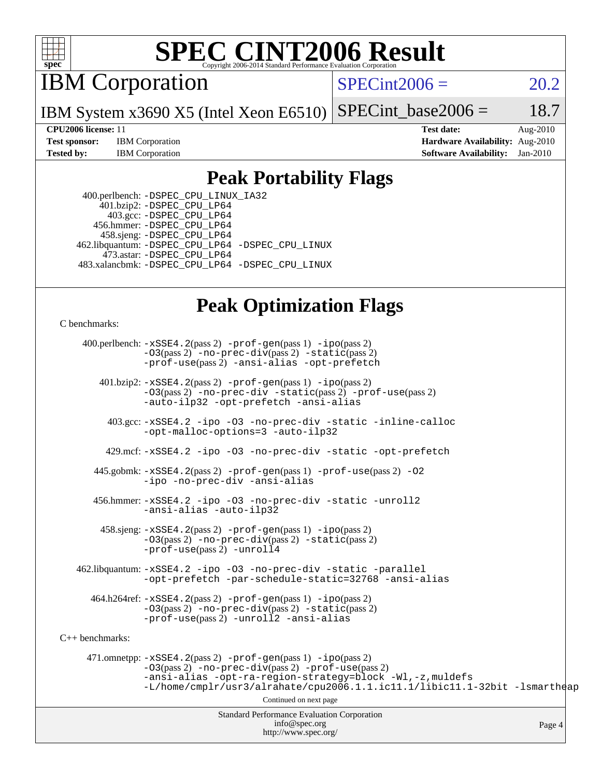

IBM Corporation

 $SPECint2006 = 20.2$  $SPECint2006 = 20.2$ 

IBM System x3690 X5 (Intel Xeon E6510)  $SPECint_base2006 = 18.7$  $SPECint_base2006 = 18.7$ 

**[CPU2006 license:](http://www.spec.org/auto/cpu2006/Docs/result-fields.html#CPU2006license)** 11 **[Test date:](http://www.spec.org/auto/cpu2006/Docs/result-fields.html#Testdate)** Aug-2010 **[Test sponsor:](http://www.spec.org/auto/cpu2006/Docs/result-fields.html#Testsponsor)** IBM Corporation **[Hardware Availability:](http://www.spec.org/auto/cpu2006/Docs/result-fields.html#HardwareAvailability)** Aug-2010 **[Tested by:](http://www.spec.org/auto/cpu2006/Docs/result-fields.html#Testedby)** IBM Corporation **[Software Availability:](http://www.spec.org/auto/cpu2006/Docs/result-fields.html#SoftwareAvailability)** Jan-2010

#### **[Peak Portability Flags](http://www.spec.org/auto/cpu2006/Docs/result-fields.html#PeakPortabilityFlags)**

 400.perlbench: [-DSPEC\\_CPU\\_LINUX\\_IA32](http://www.spec.org/cpu2006/results/res2010q3/cpu2006-20100817-12987.flags.html#b400.perlbench_peakCPORTABILITY_DSPEC_CPU_LINUX_IA32) 401.bzip2: [-DSPEC\\_CPU\\_LP64](http://www.spec.org/cpu2006/results/res2010q3/cpu2006-20100817-12987.flags.html#suite_peakPORTABILITY401_bzip2_DSPEC_CPU_LP64) 403.gcc: [-DSPEC\\_CPU\\_LP64](http://www.spec.org/cpu2006/results/res2010q3/cpu2006-20100817-12987.flags.html#suite_peakPORTABILITY403_gcc_DSPEC_CPU_LP64) 456.hmmer: [-DSPEC\\_CPU\\_LP64](http://www.spec.org/cpu2006/results/res2010q3/cpu2006-20100817-12987.flags.html#suite_peakPORTABILITY456_hmmer_DSPEC_CPU_LP64) 458.sjeng: [-DSPEC\\_CPU\\_LP64](http://www.spec.org/cpu2006/results/res2010q3/cpu2006-20100817-12987.flags.html#suite_peakPORTABILITY458_sjeng_DSPEC_CPU_LP64) 462.libquantum: [-DSPEC\\_CPU\\_LP64](http://www.spec.org/cpu2006/results/res2010q3/cpu2006-20100817-12987.flags.html#suite_peakPORTABILITY462_libquantum_DSPEC_CPU_LP64) [-DSPEC\\_CPU\\_LINUX](http://www.spec.org/cpu2006/results/res2010q3/cpu2006-20100817-12987.flags.html#b462.libquantum_peakCPORTABILITY_DSPEC_CPU_LINUX) 473.astar: [-DSPEC\\_CPU\\_LP64](http://www.spec.org/cpu2006/results/res2010q3/cpu2006-20100817-12987.flags.html#suite_peakPORTABILITY473_astar_DSPEC_CPU_LP64) 483.xalancbmk: [-DSPEC\\_CPU\\_LP64](http://www.spec.org/cpu2006/results/res2010q3/cpu2006-20100817-12987.flags.html#suite_peakPORTABILITY483_xalancbmk_DSPEC_CPU_LP64) [-DSPEC\\_CPU\\_LINUX](http://www.spec.org/cpu2006/results/res2010q3/cpu2006-20100817-12987.flags.html#b483.xalancbmk_peakCXXPORTABILITY_DSPEC_CPU_LINUX)

### **[Peak Optimization Flags](http://www.spec.org/auto/cpu2006/Docs/result-fields.html#PeakOptimizationFlags)**

[C benchmarks](http://www.spec.org/auto/cpu2006/Docs/result-fields.html#Cbenchmarks):

 400.perlbench: [-xSSE4.2](http://www.spec.org/cpu2006/results/res2010q3/cpu2006-20100817-12987.flags.html#user_peakPASS2_CFLAGSPASS2_LDCFLAGS400_perlbench_f-xSSE42_f91528193cf0b216347adb8b939d4107)(pass 2) [-prof-gen](http://www.spec.org/cpu2006/results/res2010q3/cpu2006-20100817-12987.flags.html#user_peakPASS1_CFLAGSPASS1_LDCFLAGS400_perlbench_prof_gen_e43856698f6ca7b7e442dfd80e94a8fc)(pass 1) [-ipo](http://www.spec.org/cpu2006/results/res2010q3/cpu2006-20100817-12987.flags.html#user_peakPASS2_CFLAGSPASS2_LDCFLAGS400_perlbench_f-ipo)(pass 2) [-O3](http://www.spec.org/cpu2006/results/res2010q3/cpu2006-20100817-12987.flags.html#user_peakPASS2_CFLAGSPASS2_LDCFLAGS400_perlbench_f-O3)(pass 2) [-no-prec-div](http://www.spec.org/cpu2006/results/res2010q3/cpu2006-20100817-12987.flags.html#user_peakPASS2_CFLAGSPASS2_LDCFLAGS400_perlbench_f-no-prec-div)(pass 2) [-static](http://www.spec.org/cpu2006/results/res2010q3/cpu2006-20100817-12987.flags.html#user_peakPASS2_CFLAGSPASS2_LDCFLAGS400_perlbench_f-static)(pass 2) [-prof-use](http://www.spec.org/cpu2006/results/res2010q3/cpu2006-20100817-12987.flags.html#user_peakPASS2_CFLAGSPASS2_LDCFLAGS400_perlbench_prof_use_bccf7792157ff70d64e32fe3e1250b55)(pass 2) [-ansi-alias](http://www.spec.org/cpu2006/results/res2010q3/cpu2006-20100817-12987.flags.html#user_peakCOPTIMIZE400_perlbench_f-ansi-alias) [-opt-prefetch](http://www.spec.org/cpu2006/results/res2010q3/cpu2006-20100817-12987.flags.html#user_peakCOPTIMIZE400_perlbench_f-opt-prefetch)

 401.bzip2: [-xSSE4.2](http://www.spec.org/cpu2006/results/res2010q3/cpu2006-20100817-12987.flags.html#user_peakPASS2_CFLAGSPASS2_LDCFLAGS401_bzip2_f-xSSE42_f91528193cf0b216347adb8b939d4107)(pass 2) [-prof-gen](http://www.spec.org/cpu2006/results/res2010q3/cpu2006-20100817-12987.flags.html#user_peakPASS1_CFLAGSPASS1_LDCFLAGS401_bzip2_prof_gen_e43856698f6ca7b7e442dfd80e94a8fc)(pass 1) [-ipo](http://www.spec.org/cpu2006/results/res2010q3/cpu2006-20100817-12987.flags.html#user_peakPASS2_CFLAGSPASS2_LDCFLAGS401_bzip2_f-ipo)(pass 2) [-O3](http://www.spec.org/cpu2006/results/res2010q3/cpu2006-20100817-12987.flags.html#user_peakPASS2_CFLAGSPASS2_LDCFLAGS401_bzip2_f-O3)(pass 2) [-no-prec-div](http://www.spec.org/cpu2006/results/res2010q3/cpu2006-20100817-12987.flags.html#user_peakCOPTIMIZEPASS2_CFLAGSPASS2_LDCFLAGS401_bzip2_f-no-prec-div) [-static](http://www.spec.org/cpu2006/results/res2010q3/cpu2006-20100817-12987.flags.html#user_peakPASS2_CFLAGSPASS2_LDCFLAGS401_bzip2_f-static)(pass 2) [-prof-use](http://www.spec.org/cpu2006/results/res2010q3/cpu2006-20100817-12987.flags.html#user_peakPASS2_CFLAGSPASS2_LDCFLAGS401_bzip2_prof_use_bccf7792157ff70d64e32fe3e1250b55)(pass 2) [-auto-ilp32](http://www.spec.org/cpu2006/results/res2010q3/cpu2006-20100817-12987.flags.html#user_peakCOPTIMIZE401_bzip2_f-auto-ilp32) [-opt-prefetch](http://www.spec.org/cpu2006/results/res2010q3/cpu2006-20100817-12987.flags.html#user_peakCOPTIMIZE401_bzip2_f-opt-prefetch) [-ansi-alias](http://www.spec.org/cpu2006/results/res2010q3/cpu2006-20100817-12987.flags.html#user_peakCOPTIMIZE401_bzip2_f-ansi-alias)

 403.gcc: [-xSSE4.2](http://www.spec.org/cpu2006/results/res2010q3/cpu2006-20100817-12987.flags.html#user_peakCOPTIMIZE403_gcc_f-xSSE42_f91528193cf0b216347adb8b939d4107) [-ipo](http://www.spec.org/cpu2006/results/res2010q3/cpu2006-20100817-12987.flags.html#user_peakCOPTIMIZE403_gcc_f-ipo) [-O3](http://www.spec.org/cpu2006/results/res2010q3/cpu2006-20100817-12987.flags.html#user_peakCOPTIMIZE403_gcc_f-O3) [-no-prec-div](http://www.spec.org/cpu2006/results/res2010q3/cpu2006-20100817-12987.flags.html#user_peakCOPTIMIZE403_gcc_f-no-prec-div) [-static](http://www.spec.org/cpu2006/results/res2010q3/cpu2006-20100817-12987.flags.html#user_peakCOPTIMIZE403_gcc_f-static) [-inline-calloc](http://www.spec.org/cpu2006/results/res2010q3/cpu2006-20100817-12987.flags.html#user_peakCOPTIMIZE403_gcc_f-inline-calloc) [-opt-malloc-options=3](http://www.spec.org/cpu2006/results/res2010q3/cpu2006-20100817-12987.flags.html#user_peakCOPTIMIZE403_gcc_f-opt-malloc-options_13ab9b803cf986b4ee62f0a5998c2238) [-auto-ilp32](http://www.spec.org/cpu2006/results/res2010q3/cpu2006-20100817-12987.flags.html#user_peakCOPTIMIZE403_gcc_f-auto-ilp32)

429.mcf: [-xSSE4.2](http://www.spec.org/cpu2006/results/res2010q3/cpu2006-20100817-12987.flags.html#user_peakCOPTIMIZE429_mcf_f-xSSE42_f91528193cf0b216347adb8b939d4107) [-ipo](http://www.spec.org/cpu2006/results/res2010q3/cpu2006-20100817-12987.flags.html#user_peakCOPTIMIZE429_mcf_f-ipo) [-O3](http://www.spec.org/cpu2006/results/res2010q3/cpu2006-20100817-12987.flags.html#user_peakCOPTIMIZE429_mcf_f-O3) [-no-prec-div](http://www.spec.org/cpu2006/results/res2010q3/cpu2006-20100817-12987.flags.html#user_peakCOPTIMIZE429_mcf_f-no-prec-div) [-static](http://www.spec.org/cpu2006/results/res2010q3/cpu2006-20100817-12987.flags.html#user_peakCOPTIMIZE429_mcf_f-static) [-opt-prefetch](http://www.spec.org/cpu2006/results/res2010q3/cpu2006-20100817-12987.flags.html#user_peakCOPTIMIZE429_mcf_f-opt-prefetch)

 445.gobmk: [-xSSE4.2](http://www.spec.org/cpu2006/results/res2010q3/cpu2006-20100817-12987.flags.html#user_peakPASS2_CFLAGSPASS2_LDCFLAGS445_gobmk_f-xSSE42_f91528193cf0b216347adb8b939d4107)(pass 2) [-prof-gen](http://www.spec.org/cpu2006/results/res2010q3/cpu2006-20100817-12987.flags.html#user_peakPASS1_CFLAGSPASS1_LDCFLAGS445_gobmk_prof_gen_e43856698f6ca7b7e442dfd80e94a8fc)(pass 1) [-prof-use](http://www.spec.org/cpu2006/results/res2010q3/cpu2006-20100817-12987.flags.html#user_peakPASS2_CFLAGSPASS2_LDCFLAGS445_gobmk_prof_use_bccf7792157ff70d64e32fe3e1250b55)(pass 2) [-O2](http://www.spec.org/cpu2006/results/res2010q3/cpu2006-20100817-12987.flags.html#user_peakCOPTIMIZE445_gobmk_f-O2) [-ipo](http://www.spec.org/cpu2006/results/res2010q3/cpu2006-20100817-12987.flags.html#user_peakCOPTIMIZE445_gobmk_f-ipo) [-no-prec-div](http://www.spec.org/cpu2006/results/res2010q3/cpu2006-20100817-12987.flags.html#user_peakCOPTIMIZE445_gobmk_f-no-prec-div) [-ansi-alias](http://www.spec.org/cpu2006/results/res2010q3/cpu2006-20100817-12987.flags.html#user_peakCOPTIMIZE445_gobmk_f-ansi-alias)

 456.hmmer: [-xSSE4.2](http://www.spec.org/cpu2006/results/res2010q3/cpu2006-20100817-12987.flags.html#user_peakCOPTIMIZE456_hmmer_f-xSSE42_f91528193cf0b216347adb8b939d4107) [-ipo](http://www.spec.org/cpu2006/results/res2010q3/cpu2006-20100817-12987.flags.html#user_peakCOPTIMIZE456_hmmer_f-ipo) [-O3](http://www.spec.org/cpu2006/results/res2010q3/cpu2006-20100817-12987.flags.html#user_peakCOPTIMIZE456_hmmer_f-O3) [-no-prec-div](http://www.spec.org/cpu2006/results/res2010q3/cpu2006-20100817-12987.flags.html#user_peakCOPTIMIZE456_hmmer_f-no-prec-div) [-static](http://www.spec.org/cpu2006/results/res2010q3/cpu2006-20100817-12987.flags.html#user_peakCOPTIMIZE456_hmmer_f-static) [-unroll2](http://www.spec.org/cpu2006/results/res2010q3/cpu2006-20100817-12987.flags.html#user_peakCOPTIMIZE456_hmmer_f-unroll_784dae83bebfb236979b41d2422d7ec2) [-ansi-alias](http://www.spec.org/cpu2006/results/res2010q3/cpu2006-20100817-12987.flags.html#user_peakCOPTIMIZE456_hmmer_f-ansi-alias) [-auto-ilp32](http://www.spec.org/cpu2006/results/res2010q3/cpu2006-20100817-12987.flags.html#user_peakCOPTIMIZE456_hmmer_f-auto-ilp32)

 458.sjeng: [-xSSE4.2](http://www.spec.org/cpu2006/results/res2010q3/cpu2006-20100817-12987.flags.html#user_peakPASS2_CFLAGSPASS2_LDCFLAGS458_sjeng_f-xSSE42_f91528193cf0b216347adb8b939d4107)(pass 2) [-prof-gen](http://www.spec.org/cpu2006/results/res2010q3/cpu2006-20100817-12987.flags.html#user_peakPASS1_CFLAGSPASS1_LDCFLAGS458_sjeng_prof_gen_e43856698f6ca7b7e442dfd80e94a8fc)(pass 1) [-ipo](http://www.spec.org/cpu2006/results/res2010q3/cpu2006-20100817-12987.flags.html#user_peakPASS2_CFLAGSPASS2_LDCFLAGS458_sjeng_f-ipo)(pass 2) [-O3](http://www.spec.org/cpu2006/results/res2010q3/cpu2006-20100817-12987.flags.html#user_peakPASS2_CFLAGSPASS2_LDCFLAGS458_sjeng_f-O3)(pass 2) [-no-prec-div](http://www.spec.org/cpu2006/results/res2010q3/cpu2006-20100817-12987.flags.html#user_peakPASS2_CFLAGSPASS2_LDCFLAGS458_sjeng_f-no-prec-div)(pass 2) [-static](http://www.spec.org/cpu2006/results/res2010q3/cpu2006-20100817-12987.flags.html#user_peakPASS2_CFLAGSPASS2_LDCFLAGS458_sjeng_f-static)(pass 2)  $-prof$ - $use(pass 2)$  [-unroll4](http://www.spec.org/cpu2006/results/res2010q3/cpu2006-20100817-12987.flags.html#user_peakCOPTIMIZE458_sjeng_f-unroll_4e5e4ed65b7fd20bdcd365bec371b81f)

 462.libquantum: [-xSSE4.2](http://www.spec.org/cpu2006/results/res2010q3/cpu2006-20100817-12987.flags.html#user_peakCOPTIMIZE462_libquantum_f-xSSE42_f91528193cf0b216347adb8b939d4107) [-ipo](http://www.spec.org/cpu2006/results/res2010q3/cpu2006-20100817-12987.flags.html#user_peakCOPTIMIZE462_libquantum_f-ipo) [-O3](http://www.spec.org/cpu2006/results/res2010q3/cpu2006-20100817-12987.flags.html#user_peakCOPTIMIZE462_libquantum_f-O3) [-no-prec-div](http://www.spec.org/cpu2006/results/res2010q3/cpu2006-20100817-12987.flags.html#user_peakCOPTIMIZE462_libquantum_f-no-prec-div) [-static](http://www.spec.org/cpu2006/results/res2010q3/cpu2006-20100817-12987.flags.html#user_peakCOPTIMIZE462_libquantum_f-static) [-parallel](http://www.spec.org/cpu2006/results/res2010q3/cpu2006-20100817-12987.flags.html#user_peakCOPTIMIZE462_libquantum_f-parallel) [-opt-prefetch](http://www.spec.org/cpu2006/results/res2010q3/cpu2006-20100817-12987.flags.html#user_peakCOPTIMIZE462_libquantum_f-opt-prefetch) [-par-schedule-static=32768](http://www.spec.org/cpu2006/results/res2010q3/cpu2006-20100817-12987.flags.html#user_peakCOPTIMIZE462_libquantum_f-par-schedule_9386bcd99ba64e99ee01d1aafefddd14) [-ansi-alias](http://www.spec.org/cpu2006/results/res2010q3/cpu2006-20100817-12987.flags.html#user_peakCOPTIMIZE462_libquantum_f-ansi-alias)

 464.h264ref: [-xSSE4.2](http://www.spec.org/cpu2006/results/res2010q3/cpu2006-20100817-12987.flags.html#user_peakPASS2_CFLAGSPASS2_LDCFLAGS464_h264ref_f-xSSE42_f91528193cf0b216347adb8b939d4107)(pass 2) [-prof-gen](http://www.spec.org/cpu2006/results/res2010q3/cpu2006-20100817-12987.flags.html#user_peakPASS1_CFLAGSPASS1_LDCFLAGS464_h264ref_prof_gen_e43856698f6ca7b7e442dfd80e94a8fc)(pass 1) [-ipo](http://www.spec.org/cpu2006/results/res2010q3/cpu2006-20100817-12987.flags.html#user_peakPASS2_CFLAGSPASS2_LDCFLAGS464_h264ref_f-ipo)(pass 2) [-O3](http://www.spec.org/cpu2006/results/res2010q3/cpu2006-20100817-12987.flags.html#user_peakPASS2_CFLAGSPASS2_LDCFLAGS464_h264ref_f-O3)(pass 2) [-no-prec-div](http://www.spec.org/cpu2006/results/res2010q3/cpu2006-20100817-12987.flags.html#user_peakPASS2_CFLAGSPASS2_LDCFLAGS464_h264ref_f-no-prec-div)(pass 2) [-static](http://www.spec.org/cpu2006/results/res2010q3/cpu2006-20100817-12987.flags.html#user_peakPASS2_CFLAGSPASS2_LDCFLAGS464_h264ref_f-static)(pass 2) [-prof-use](http://www.spec.org/cpu2006/results/res2010q3/cpu2006-20100817-12987.flags.html#user_peakPASS2_CFLAGSPASS2_LDCFLAGS464_h264ref_prof_use_bccf7792157ff70d64e32fe3e1250b55)(pass 2) [-unroll2](http://www.spec.org/cpu2006/results/res2010q3/cpu2006-20100817-12987.flags.html#user_peakCOPTIMIZE464_h264ref_f-unroll_784dae83bebfb236979b41d2422d7ec2) [-ansi-alias](http://www.spec.org/cpu2006/results/res2010q3/cpu2006-20100817-12987.flags.html#user_peakCOPTIMIZE464_h264ref_f-ansi-alias)

[C++ benchmarks:](http://www.spec.org/auto/cpu2006/Docs/result-fields.html#CXXbenchmarks)

 471.omnetpp: [-xSSE4.2](http://www.spec.org/cpu2006/results/res2010q3/cpu2006-20100817-12987.flags.html#user_peakPASS2_CXXFLAGSPASS2_LDCXXFLAGS471_omnetpp_f-xSSE42_f91528193cf0b216347adb8b939d4107)(pass 2) [-prof-gen](http://www.spec.org/cpu2006/results/res2010q3/cpu2006-20100817-12987.flags.html#user_peakPASS1_CXXFLAGSPASS1_LDCXXFLAGS471_omnetpp_prof_gen_e43856698f6ca7b7e442dfd80e94a8fc)(pass 1) [-ipo](http://www.spec.org/cpu2006/results/res2010q3/cpu2006-20100817-12987.flags.html#user_peakPASS2_CXXFLAGSPASS2_LDCXXFLAGS471_omnetpp_f-ipo)(pass 2) [-O3](http://www.spec.org/cpu2006/results/res2010q3/cpu2006-20100817-12987.flags.html#user_peakPASS2_CXXFLAGSPASS2_LDCXXFLAGS471_omnetpp_f-O3)(pass 2) [-no-prec-div](http://www.spec.org/cpu2006/results/res2010q3/cpu2006-20100817-12987.flags.html#user_peakPASS2_CXXFLAGSPASS2_LDCXXFLAGS471_omnetpp_f-no-prec-div)(pass 2) [-prof-use](http://www.spec.org/cpu2006/results/res2010q3/cpu2006-20100817-12987.flags.html#user_peakPASS2_CXXFLAGSPASS2_LDCXXFLAGS471_omnetpp_prof_use_bccf7792157ff70d64e32fe3e1250b55)(pass 2) [-ansi-alias](http://www.spec.org/cpu2006/results/res2010q3/cpu2006-20100817-12987.flags.html#user_peakCXXOPTIMIZE471_omnetpp_f-ansi-alias) [-opt-ra-region-strategy=block](http://www.spec.org/cpu2006/results/res2010q3/cpu2006-20100817-12987.flags.html#user_peakCXXOPTIMIZE471_omnetpp_f-opt-ra-region-strategy-block_a0a37c372d03933b2a18d4af463c1f69) [-Wl,-z,muldefs](http://www.spec.org/cpu2006/results/res2010q3/cpu2006-20100817-12987.flags.html#user_peakEXTRA_LDFLAGS471_omnetpp_link_force_multiple1_74079c344b956b9658436fd1b6dd3a8a) [-L/home/cmplr/usr3/alrahate/cpu2006.1.1.ic11.1/libic11.1-32bit -lsmartheap](http://www.spec.org/cpu2006/results/res2010q3/cpu2006-20100817-12987.flags.html#user_peakEXTRA_LIBS471_omnetpp_SmartHeap_d86dffe4a79b79ef8890d5cce17030c3)

Continued on next page

Standard Performance Evaluation Corporation [info@spec.org](mailto:info@spec.org) <http://www.spec.org/>